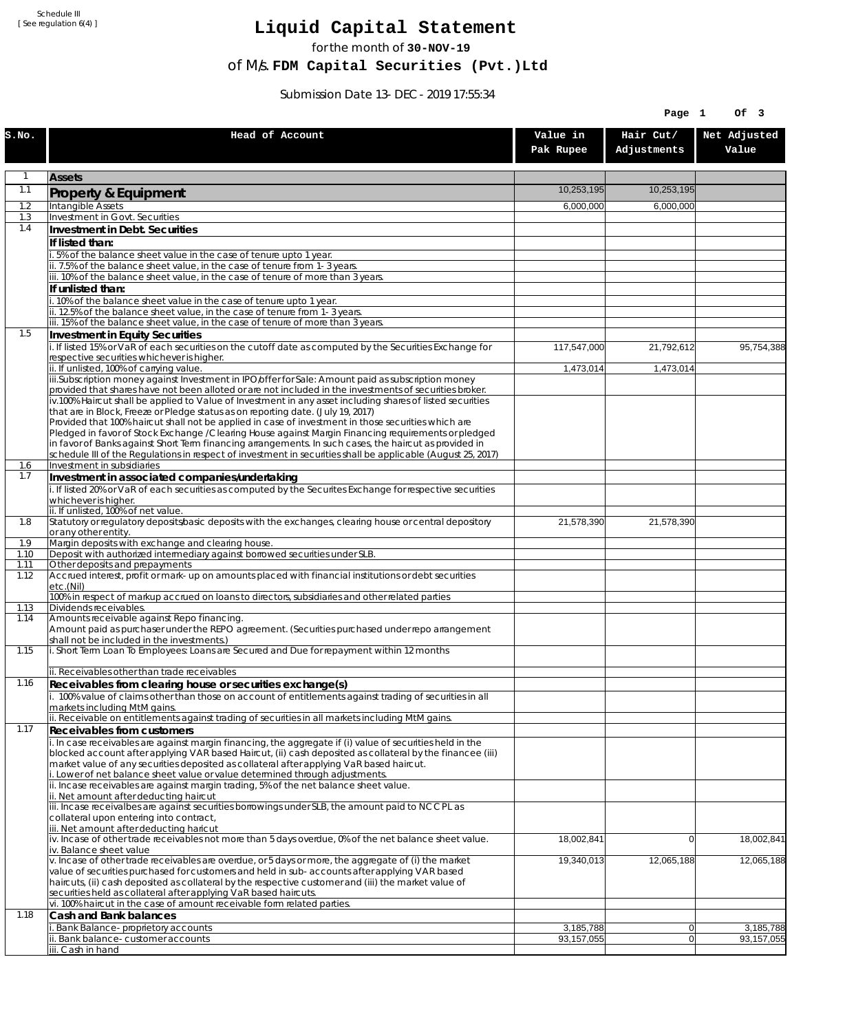Schedule III [ See regulation 6(4) ]

## **Liquid Capital Statement**

for the month of **30-NOV-19**

of M/s. **FDM Capital Securities (Pvt.)Ltd**

Submission Date 13-DEC-2019 17:55:34

|              |                                                                                                                                                                                                                        |                         | Page 1                           | Of 3                      |
|--------------|------------------------------------------------------------------------------------------------------------------------------------------------------------------------------------------------------------------------|-------------------------|----------------------------------|---------------------------|
| S.NO.        | Head of Account                                                                                                                                                                                                        | Value in<br>Pak Rupee   | Hair Cut/<br>Adjustments         | Net Adjusted<br>Value     |
| 1            | <b>Assets</b>                                                                                                                                                                                                          |                         |                                  |                           |
| 1.1          | Property & Equipment                                                                                                                                                                                                   | 10,253,195              | 10,253,195                       |                           |
| 1.2          | Intangible Assets                                                                                                                                                                                                      | 6,000,000               | 6,000,000                        |                           |
| 1.3<br>1.4   | Investment in Govt. Securities<br>Investment in Debt. Securities                                                                                                                                                       |                         |                                  |                           |
|              | If listed than:                                                                                                                                                                                                        |                         |                                  |                           |
|              | .5% of the balance sheet value in the case of tenure upto 1 year.                                                                                                                                                      |                         |                                  |                           |
|              | ii. 7.5% of the balance sheet value, in the case of tenure from 1-3 years.                                                                                                                                             |                         |                                  |                           |
|              | iii. 10% of the balance sheet value, in the case of tenure of more than 3 years.<br>If unlisted than:                                                                                                                  |                         |                                  |                           |
|              | i. 10% of the balance sheet value in the case of tenure upto 1 year.                                                                                                                                                   |                         |                                  |                           |
|              | ii. 12.5% of the balance sheet value, in the case of tenure from 1-3 years.<br>iii. 15% of the balance sheet value, in the case of tenure of more than 3 years.                                                        |                         |                                  |                           |
| 1.5          | Investment in Equity Securities                                                                                                                                                                                        |                         |                                  |                           |
|              | i. If listed 15% or VaR of each securities on the cutoff date as computed by the Securities Exchange for                                                                                                               | 117,547,000             | 21,792,612                       | 95,754,388                |
|              | respective securities whichever is higher.                                                                                                                                                                             |                         |                                  |                           |
|              | ii. If unlisted, 100% of carrying value.<br>iii.Subscription money against Investment in IPO/offer for Sale: Amount paid as subscription money                                                                         | 1,473,014               | 1,473,014                        |                           |
|              | provided that shares have not been alloted or are not included in the investments of securities broker.                                                                                                                |                         |                                  |                           |
|              | iv.100% Haircut shall be applied to Value of Investment in any asset including shares of listed securities<br>that are in Block, Freeze or Pledge status as on reporting date. (July 19, 2017)                         |                         |                                  |                           |
|              | Provided that 100% haircut shall not be applied in case of investment in those securities which are                                                                                                                    |                         |                                  |                           |
|              | Pledged in favor of Stock Exchange / Clearing House against Margin Financing reguirements or pledged                                                                                                                   |                         |                                  |                           |
|              | in favor of Banks against Short Term financing arrangements. In such cases, the haircut as provided in<br>schedule III of the Regulations in respect of investment in securities shall be applicable (August 25, 2017) |                         |                                  |                           |
| 1.6          | Investment in subsidiaries                                                                                                                                                                                             |                         |                                  |                           |
| 1.7          | Investment in associated companies/undertaking                                                                                                                                                                         |                         |                                  |                           |
|              | i. If listed 20% or VaR of each securities as computed by the Securites Exchange for respective securities<br>whichever is higher.                                                                                     |                         |                                  |                           |
|              | ii. If unlisted, 100% of net value.                                                                                                                                                                                    |                         |                                  |                           |
| 1.8          | Statutory or regulatory deposits/basic deposits with the exchanges, clearing house or central depository                                                                                                               | 21,578,390              | 21,578,390                       |                           |
| 1.9          | or any other entity.<br>Margin deposits with exchange and clearing house.                                                                                                                                              |                         |                                  |                           |
| 1.10         | Deposit with authorized intermediary against borrowed securities under SLB.                                                                                                                                            |                         |                                  |                           |
| 1.11<br>1.12 | Other deposits and prepayments<br>Accrued interest, profit or mark-up on amounts placed with financial institutions or debt securities                                                                                 |                         |                                  |                           |
|              | etc.(Nil)                                                                                                                                                                                                              |                         |                                  |                           |
| 1.13         | 100% in respect of markup accrued on loans to directors, subsidiaries and other related parties<br>Dividends receivables.                                                                                              |                         |                                  |                           |
| 1.14         | Amounts receivable against Repo financing.                                                                                                                                                                             |                         |                                  |                           |
|              | Amount paid as purchaser under the REPO agreement. (Securities purchased under repo arrangement                                                                                                                        |                         |                                  |                           |
| 1.15         | shall not be included in the investments.)<br>i. Short Term Loan To Employees: Loans are Secured and Due for repayment within 12 months                                                                                |                         |                                  |                           |
|              |                                                                                                                                                                                                                        |                         |                                  |                           |
| 1.16         | ii. Receivables other than trade receivables                                                                                                                                                                           |                         |                                  |                           |
|              | Receivables from clearing house or securities exchange(s)<br>i. 100% value of claims other than those on account of entitlements against trading of securities in all                                                  |                         |                                  |                           |
|              | markets including MtM gains.                                                                                                                                                                                           |                         |                                  |                           |
| 1.17         | ii. Receivable on entitlements against trading of securities in all markets including MtM gains.                                                                                                                       |                         |                                  |                           |
|              | Receivables from customers<br>i. In case receivables are against margin financing, the aggregate if (i) value of securities held in the                                                                                |                         |                                  |                           |
|              | blocked account after applying VAR based Haircut, (ii) cash deposited as collateral by the financee (iii)                                                                                                              |                         |                                  |                           |
|              | market value of any securities deposited as collateral after applying VaR based haircut.<br>i. Lower of net balance sheet value or value determined through adjustments.                                               |                         |                                  |                           |
|              | ii. Incase receivables are against margin trading, 5% of the net balance sheet value.                                                                                                                                  |                         |                                  |                           |
|              | ii. Net amount after deducting haircut                                                                                                                                                                                 |                         |                                  |                           |
|              | iii. Incase receivalbes are against securities borrowings under SLB, the amount paid to NCCPL as<br>collateral upon entering into contract,                                                                            |                         |                                  |                           |
|              | iii. Net amount after deducting haricut                                                                                                                                                                                |                         |                                  |                           |
|              | iv. Incase of other trade receivables not more than 5 days overdue, 0% of the net balance sheet value.<br>iv. Balance sheet value                                                                                      | 18,002,841              | $\overline{0}$                   | 18,002,841                |
|              | v. Incase of other trade receivables are overdue, or 5 days or more, the aggregate of (i) the market                                                                                                                   | 19,340,013              | 12,065,188                       | 12,065,188                |
|              | value of securities purchased for customers and held in sub-accounts after applying VAR based                                                                                                                          |                         |                                  |                           |
|              | haircuts, (ii) cash deposited as collateral by the respective customer and (iii) the market value of<br>securities held as collateral after applying VaR based haircuts.                                               |                         |                                  |                           |
|              | vi. 100% haircut in the case of amount receivable form related parties.                                                                                                                                                |                         |                                  |                           |
| 1.18         | Cash and Bank balances                                                                                                                                                                                                 |                         |                                  |                           |
|              | i. Bank Balance-proprietory accounts<br>Bank balance-customer accounts                                                                                                                                                 | 3,185,788<br>93,157,055 | $\overline{0}$<br>$\overline{0}$ | 3,185,788<br>93, 157, 055 |
|              | iii. Cash in hand                                                                                                                                                                                                      |                         |                                  |                           |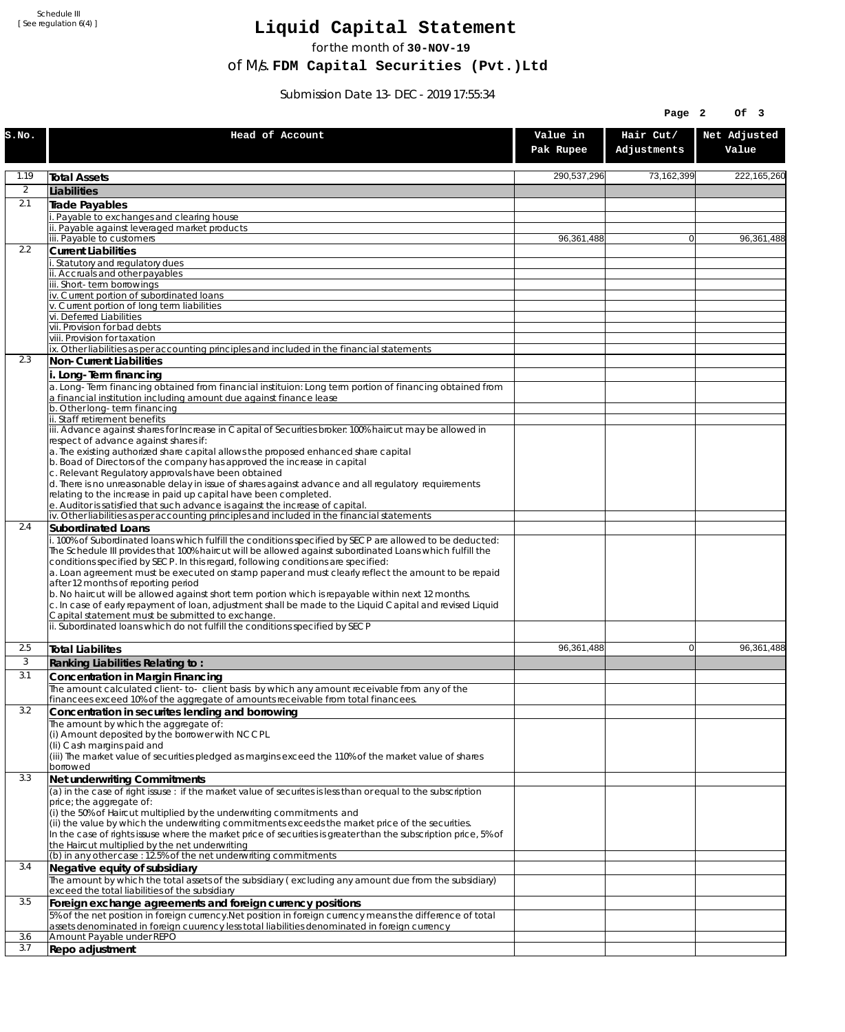Schedule III [ See regulation 6(4) ]

## **Liquid Capital Statement**

for the month of **30-NOV-19**

of M/s. **FDM Capital Securities (Pvt.)Ltd**

Submission Date 13-DEC-2019 17:55:34

| Hair Cut/<br>Net Adjusted<br>Head of Account<br>Value in<br>S.NO.<br>Adjustments<br>Value<br>Pak Rupee<br>1.19<br>290,537,296<br>73,162,399<br><b>Total Assets</b><br>$\overline{2}$<br>Liabilities<br>2.1<br>Trade Payables<br>. Payable to exchanges and clearing house<br>ii. Payable against leveraged market products<br>iii. Payable to customers<br>$\mathbf{0}$<br>96.361.488<br>96,361,488<br>2.2<br><b>Current Liabilities</b><br>. Statutory and regulatory dues<br>ii. Accruals and other payables<br>iii. Short-term borrowinas<br>iv. Current portion of subordinated loans<br>v. Current portion of long term liabilities<br>vi. Deferred Liabilities<br>vii. Provision for bad debts<br>viii. Provision for taxation<br>ix. Other liabilities as per accounting principles and included in the financial statements<br>2.3<br>Non-Current Liabilities<br>i. Long-Term financing<br>a. Long-Term financing obtained from financial instituion: Long term portion of financing obtained from<br>a financial institution including amount due against finance lease<br>b. Other long-term financing<br>ii. Staff retirement benefits<br>iii. Advance against shares for Increase in Capital of Securities broker: 100% haircut may be allowed in<br>respect of advance against shares if:<br>a. The existing authorized share capital allows the proposed enhanced share capital<br>b. Boad of Directors of the company has approved the increase in capital<br>c. Relevant Regulatory approvals have been obtained<br>d. There is no unreasonable delay in issue of shares against advance and all regulatory requirements<br>relating to the increase in paid up capital have been completed.<br>e. Auditor is satisfied that such advance is against the increase of capital.<br>iv. Other liabilities as per accounting principles and included in the financial statements<br>2.4<br><b>Subordinated Loans</b><br>. 100% of Subordinated loans which fulfill the conditions specified by SECP are allowed to be deducted:<br>The Schedule III provides that 100% haircut will be allowed against subordinated Loans which fulfill the<br>conditions specified by SECP. In this regard, following conditions are specified:<br>a. Loan agreement must be executed on stamp paper and must clearly reflect the amount to be repaid<br>after 12 months of reporting period<br>b. No haircut will be allowed against short term portion which is repayable within next 12 months.<br>c. In case of early repayment of loan, adjustment shall be made to the Liquid Capital and revised Liquid<br>Capital statement must be submitted to exchange.<br>ii. Subordinated loans which do not fulfill the conditions specified by SECP<br>2.5<br>96,361,488<br>96.361.488<br>0<br><b>Total Liabilites</b><br>3<br>Ranking Liabilities Relating to:<br>3.1<br>Concentration in Margin Financing<br>The amount calculated client-to- client basis by which any amount receivable from any of the<br>financees exceed 10% of the aggregate of amounts receivable from total financees.<br>3.2<br>Concentration in securites lending and borrowing<br>The amount by which the aggregate of:<br>(i) Amount deposited by the borrower with NCCPL<br>(Ii) Cash margins paid and<br>(iii) The market value of securities pledged as margins exceed the 110% of the market value of shares<br>borrowed<br>3.3<br>Net underwriting Commitments<br>(a) in the case of right issuse : if the market value of securites is less than or equal to the subscription<br>price; the aggregate of:<br>(i) the 50% of Haircut multiplied by the underwriting commitments and<br>(ii) the value by which the underwriting commitments exceeds the market price of the securities.<br>In the case of rights issuse where the market price of securities is greater than the subscription price, 5% of<br>the Haircut multiplied by the net underwriting<br>(b) in any other case: 12.5% of the net underwriting commitments<br>3.4<br>Negative equity of subsidiary<br>The amount by which the total assets of the subsidiary (excluding any amount due from the subsidiary)<br>exceed the total liabilities of the subsidiary<br>3.5<br>Foreign exchange agreements and foreign currency positions<br>5% of the net position in foreign currency. Net position in foreign currency means the difference of total<br>assets denominated in foreign cuurency less total liabilities denominated in foreign currency<br>3.6<br>Amount Payable under REPO<br>3.7<br>Repo adjustment |  |  | Page 2 | Of 3        |
|----------------------------------------------------------------------------------------------------------------------------------------------------------------------------------------------------------------------------------------------------------------------------------------------------------------------------------------------------------------------------------------------------------------------------------------------------------------------------------------------------------------------------------------------------------------------------------------------------------------------------------------------------------------------------------------------------------------------------------------------------------------------------------------------------------------------------------------------------------------------------------------------------------------------------------------------------------------------------------------------------------------------------------------------------------------------------------------------------------------------------------------------------------------------------------------------------------------------------------------------------------------------------------------------------------------------------------------------------------------------------------------------------------------------------------------------------------------------------------------------------------------------------------------------------------------------------------------------------------------------------------------------------------------------------------------------------------------------------------------------------------------------------------------------------------------------------------------------------------------------------------------------------------------------------------------------------------------------------------------------------------------------------------------------------------------------------------------------------------------------------------------------------------------------------------------------------------------------------------------------------------------------------------------------------------------------------------------------------------------------------------------------------------------------------------------------------------------------------------------------------------------------------------------------------------------------------------------------------------------------------------------------------------------------------------------------------------------------------------------------------------------------------------------------------------------------------------------------------------------------------------------------------------------------------------------------------------------------------------------------------------------------------------------------------------------------------------------------------------------------------------------------------------------------------------------------------------------------------------------------------------------------------------------------------------------------------------------------------------------------------------------------------------------------------------------------------------------------------------------------------------------------------------------------------------------------------------------------------------------------------------------------------------------------------------------------------------------------------------------------------------------------------------------------------------------------------------------------------------------------------------------------------------------------------------------------------------------------------------------------------------------------------------------------------------------------------------------------------------------------------------------------------------------------------------------------------------------------------------------------------------------------------------------------------------------------------------------------------------------------------------------------------------------------------------------------------------------------------------------------------------------------------------------------------------------------|--|--|--------|-------------|
|                                                                                                                                                                                                                                                                                                                                                                                                                                                                                                                                                                                                                                                                                                                                                                                                                                                                                                                                                                                                                                                                                                                                                                                                                                                                                                                                                                                                                                                                                                                                                                                                                                                                                                                                                                                                                                                                                                                                                                                                                                                                                                                                                                                                                                                                                                                                                                                                                                                                                                                                                                                                                                                                                                                                                                                                                                                                                                                                                                                                                                                                                                                                                                                                                                                                                                                                                                                                                                                                                                                                                                                                                                                                                                                                                                                                                                                                                                                                                                                                                                                                                                                                                                                                                                                                                                                                                                                                                                                                                                                                                                      |  |  |        |             |
|                                                                                                                                                                                                                                                                                                                                                                                                                                                                                                                                                                                                                                                                                                                                                                                                                                                                                                                                                                                                                                                                                                                                                                                                                                                                                                                                                                                                                                                                                                                                                                                                                                                                                                                                                                                                                                                                                                                                                                                                                                                                                                                                                                                                                                                                                                                                                                                                                                                                                                                                                                                                                                                                                                                                                                                                                                                                                                                                                                                                                                                                                                                                                                                                                                                                                                                                                                                                                                                                                                                                                                                                                                                                                                                                                                                                                                                                                                                                                                                                                                                                                                                                                                                                                                                                                                                                                                                                                                                                                                                                                                      |  |  |        | 222,165,260 |
|                                                                                                                                                                                                                                                                                                                                                                                                                                                                                                                                                                                                                                                                                                                                                                                                                                                                                                                                                                                                                                                                                                                                                                                                                                                                                                                                                                                                                                                                                                                                                                                                                                                                                                                                                                                                                                                                                                                                                                                                                                                                                                                                                                                                                                                                                                                                                                                                                                                                                                                                                                                                                                                                                                                                                                                                                                                                                                                                                                                                                                                                                                                                                                                                                                                                                                                                                                                                                                                                                                                                                                                                                                                                                                                                                                                                                                                                                                                                                                                                                                                                                                                                                                                                                                                                                                                                                                                                                                                                                                                                                                      |  |  |        |             |
|                                                                                                                                                                                                                                                                                                                                                                                                                                                                                                                                                                                                                                                                                                                                                                                                                                                                                                                                                                                                                                                                                                                                                                                                                                                                                                                                                                                                                                                                                                                                                                                                                                                                                                                                                                                                                                                                                                                                                                                                                                                                                                                                                                                                                                                                                                                                                                                                                                                                                                                                                                                                                                                                                                                                                                                                                                                                                                                                                                                                                                                                                                                                                                                                                                                                                                                                                                                                                                                                                                                                                                                                                                                                                                                                                                                                                                                                                                                                                                                                                                                                                                                                                                                                                                                                                                                                                                                                                                                                                                                                                                      |  |  |        |             |
|                                                                                                                                                                                                                                                                                                                                                                                                                                                                                                                                                                                                                                                                                                                                                                                                                                                                                                                                                                                                                                                                                                                                                                                                                                                                                                                                                                                                                                                                                                                                                                                                                                                                                                                                                                                                                                                                                                                                                                                                                                                                                                                                                                                                                                                                                                                                                                                                                                                                                                                                                                                                                                                                                                                                                                                                                                                                                                                                                                                                                                                                                                                                                                                                                                                                                                                                                                                                                                                                                                                                                                                                                                                                                                                                                                                                                                                                                                                                                                                                                                                                                                                                                                                                                                                                                                                                                                                                                                                                                                                                                                      |  |  |        |             |
|                                                                                                                                                                                                                                                                                                                                                                                                                                                                                                                                                                                                                                                                                                                                                                                                                                                                                                                                                                                                                                                                                                                                                                                                                                                                                                                                                                                                                                                                                                                                                                                                                                                                                                                                                                                                                                                                                                                                                                                                                                                                                                                                                                                                                                                                                                                                                                                                                                                                                                                                                                                                                                                                                                                                                                                                                                                                                                                                                                                                                                                                                                                                                                                                                                                                                                                                                                                                                                                                                                                                                                                                                                                                                                                                                                                                                                                                                                                                                                                                                                                                                                                                                                                                                                                                                                                                                                                                                                                                                                                                                                      |  |  |        |             |
|                                                                                                                                                                                                                                                                                                                                                                                                                                                                                                                                                                                                                                                                                                                                                                                                                                                                                                                                                                                                                                                                                                                                                                                                                                                                                                                                                                                                                                                                                                                                                                                                                                                                                                                                                                                                                                                                                                                                                                                                                                                                                                                                                                                                                                                                                                                                                                                                                                                                                                                                                                                                                                                                                                                                                                                                                                                                                                                                                                                                                                                                                                                                                                                                                                                                                                                                                                                                                                                                                                                                                                                                                                                                                                                                                                                                                                                                                                                                                                                                                                                                                                                                                                                                                                                                                                                                                                                                                                                                                                                                                                      |  |  |        |             |
|                                                                                                                                                                                                                                                                                                                                                                                                                                                                                                                                                                                                                                                                                                                                                                                                                                                                                                                                                                                                                                                                                                                                                                                                                                                                                                                                                                                                                                                                                                                                                                                                                                                                                                                                                                                                                                                                                                                                                                                                                                                                                                                                                                                                                                                                                                                                                                                                                                                                                                                                                                                                                                                                                                                                                                                                                                                                                                                                                                                                                                                                                                                                                                                                                                                                                                                                                                                                                                                                                                                                                                                                                                                                                                                                                                                                                                                                                                                                                                                                                                                                                                                                                                                                                                                                                                                                                                                                                                                                                                                                                                      |  |  |        |             |
|                                                                                                                                                                                                                                                                                                                                                                                                                                                                                                                                                                                                                                                                                                                                                                                                                                                                                                                                                                                                                                                                                                                                                                                                                                                                                                                                                                                                                                                                                                                                                                                                                                                                                                                                                                                                                                                                                                                                                                                                                                                                                                                                                                                                                                                                                                                                                                                                                                                                                                                                                                                                                                                                                                                                                                                                                                                                                                                                                                                                                                                                                                                                                                                                                                                                                                                                                                                                                                                                                                                                                                                                                                                                                                                                                                                                                                                                                                                                                                                                                                                                                                                                                                                                                                                                                                                                                                                                                                                                                                                                                                      |  |  |        |             |
|                                                                                                                                                                                                                                                                                                                                                                                                                                                                                                                                                                                                                                                                                                                                                                                                                                                                                                                                                                                                                                                                                                                                                                                                                                                                                                                                                                                                                                                                                                                                                                                                                                                                                                                                                                                                                                                                                                                                                                                                                                                                                                                                                                                                                                                                                                                                                                                                                                                                                                                                                                                                                                                                                                                                                                                                                                                                                                                                                                                                                                                                                                                                                                                                                                                                                                                                                                                                                                                                                                                                                                                                                                                                                                                                                                                                                                                                                                                                                                                                                                                                                                                                                                                                                                                                                                                                                                                                                                                                                                                                                                      |  |  |        |             |
|                                                                                                                                                                                                                                                                                                                                                                                                                                                                                                                                                                                                                                                                                                                                                                                                                                                                                                                                                                                                                                                                                                                                                                                                                                                                                                                                                                                                                                                                                                                                                                                                                                                                                                                                                                                                                                                                                                                                                                                                                                                                                                                                                                                                                                                                                                                                                                                                                                                                                                                                                                                                                                                                                                                                                                                                                                                                                                                                                                                                                                                                                                                                                                                                                                                                                                                                                                                                                                                                                                                                                                                                                                                                                                                                                                                                                                                                                                                                                                                                                                                                                                                                                                                                                                                                                                                                                                                                                                                                                                                                                                      |  |  |        |             |
|                                                                                                                                                                                                                                                                                                                                                                                                                                                                                                                                                                                                                                                                                                                                                                                                                                                                                                                                                                                                                                                                                                                                                                                                                                                                                                                                                                                                                                                                                                                                                                                                                                                                                                                                                                                                                                                                                                                                                                                                                                                                                                                                                                                                                                                                                                                                                                                                                                                                                                                                                                                                                                                                                                                                                                                                                                                                                                                                                                                                                                                                                                                                                                                                                                                                                                                                                                                                                                                                                                                                                                                                                                                                                                                                                                                                                                                                                                                                                                                                                                                                                                                                                                                                                                                                                                                                                                                                                                                                                                                                                                      |  |  |        |             |
|                                                                                                                                                                                                                                                                                                                                                                                                                                                                                                                                                                                                                                                                                                                                                                                                                                                                                                                                                                                                                                                                                                                                                                                                                                                                                                                                                                                                                                                                                                                                                                                                                                                                                                                                                                                                                                                                                                                                                                                                                                                                                                                                                                                                                                                                                                                                                                                                                                                                                                                                                                                                                                                                                                                                                                                                                                                                                                                                                                                                                                                                                                                                                                                                                                                                                                                                                                                                                                                                                                                                                                                                                                                                                                                                                                                                                                                                                                                                                                                                                                                                                                                                                                                                                                                                                                                                                                                                                                                                                                                                                                      |  |  |        |             |
|                                                                                                                                                                                                                                                                                                                                                                                                                                                                                                                                                                                                                                                                                                                                                                                                                                                                                                                                                                                                                                                                                                                                                                                                                                                                                                                                                                                                                                                                                                                                                                                                                                                                                                                                                                                                                                                                                                                                                                                                                                                                                                                                                                                                                                                                                                                                                                                                                                                                                                                                                                                                                                                                                                                                                                                                                                                                                                                                                                                                                                                                                                                                                                                                                                                                                                                                                                                                                                                                                                                                                                                                                                                                                                                                                                                                                                                                                                                                                                                                                                                                                                                                                                                                                                                                                                                                                                                                                                                                                                                                                                      |  |  |        |             |
|                                                                                                                                                                                                                                                                                                                                                                                                                                                                                                                                                                                                                                                                                                                                                                                                                                                                                                                                                                                                                                                                                                                                                                                                                                                                                                                                                                                                                                                                                                                                                                                                                                                                                                                                                                                                                                                                                                                                                                                                                                                                                                                                                                                                                                                                                                                                                                                                                                                                                                                                                                                                                                                                                                                                                                                                                                                                                                                                                                                                                                                                                                                                                                                                                                                                                                                                                                                                                                                                                                                                                                                                                                                                                                                                                                                                                                                                                                                                                                                                                                                                                                                                                                                                                                                                                                                                                                                                                                                                                                                                                                      |  |  |        |             |
|                                                                                                                                                                                                                                                                                                                                                                                                                                                                                                                                                                                                                                                                                                                                                                                                                                                                                                                                                                                                                                                                                                                                                                                                                                                                                                                                                                                                                                                                                                                                                                                                                                                                                                                                                                                                                                                                                                                                                                                                                                                                                                                                                                                                                                                                                                                                                                                                                                                                                                                                                                                                                                                                                                                                                                                                                                                                                                                                                                                                                                                                                                                                                                                                                                                                                                                                                                                                                                                                                                                                                                                                                                                                                                                                                                                                                                                                                                                                                                                                                                                                                                                                                                                                                                                                                                                                                                                                                                                                                                                                                                      |  |  |        |             |
|                                                                                                                                                                                                                                                                                                                                                                                                                                                                                                                                                                                                                                                                                                                                                                                                                                                                                                                                                                                                                                                                                                                                                                                                                                                                                                                                                                                                                                                                                                                                                                                                                                                                                                                                                                                                                                                                                                                                                                                                                                                                                                                                                                                                                                                                                                                                                                                                                                                                                                                                                                                                                                                                                                                                                                                                                                                                                                                                                                                                                                                                                                                                                                                                                                                                                                                                                                                                                                                                                                                                                                                                                                                                                                                                                                                                                                                                                                                                                                                                                                                                                                                                                                                                                                                                                                                                                                                                                                                                                                                                                                      |  |  |        |             |
|                                                                                                                                                                                                                                                                                                                                                                                                                                                                                                                                                                                                                                                                                                                                                                                                                                                                                                                                                                                                                                                                                                                                                                                                                                                                                                                                                                                                                                                                                                                                                                                                                                                                                                                                                                                                                                                                                                                                                                                                                                                                                                                                                                                                                                                                                                                                                                                                                                                                                                                                                                                                                                                                                                                                                                                                                                                                                                                                                                                                                                                                                                                                                                                                                                                                                                                                                                                                                                                                                                                                                                                                                                                                                                                                                                                                                                                                                                                                                                                                                                                                                                                                                                                                                                                                                                                                                                                                                                                                                                                                                                      |  |  |        |             |
|                                                                                                                                                                                                                                                                                                                                                                                                                                                                                                                                                                                                                                                                                                                                                                                                                                                                                                                                                                                                                                                                                                                                                                                                                                                                                                                                                                                                                                                                                                                                                                                                                                                                                                                                                                                                                                                                                                                                                                                                                                                                                                                                                                                                                                                                                                                                                                                                                                                                                                                                                                                                                                                                                                                                                                                                                                                                                                                                                                                                                                                                                                                                                                                                                                                                                                                                                                                                                                                                                                                                                                                                                                                                                                                                                                                                                                                                                                                                                                                                                                                                                                                                                                                                                                                                                                                                                                                                                                                                                                                                                                      |  |  |        |             |
|                                                                                                                                                                                                                                                                                                                                                                                                                                                                                                                                                                                                                                                                                                                                                                                                                                                                                                                                                                                                                                                                                                                                                                                                                                                                                                                                                                                                                                                                                                                                                                                                                                                                                                                                                                                                                                                                                                                                                                                                                                                                                                                                                                                                                                                                                                                                                                                                                                                                                                                                                                                                                                                                                                                                                                                                                                                                                                                                                                                                                                                                                                                                                                                                                                                                                                                                                                                                                                                                                                                                                                                                                                                                                                                                                                                                                                                                                                                                                                                                                                                                                                                                                                                                                                                                                                                                                                                                                                                                                                                                                                      |  |  |        |             |
|                                                                                                                                                                                                                                                                                                                                                                                                                                                                                                                                                                                                                                                                                                                                                                                                                                                                                                                                                                                                                                                                                                                                                                                                                                                                                                                                                                                                                                                                                                                                                                                                                                                                                                                                                                                                                                                                                                                                                                                                                                                                                                                                                                                                                                                                                                                                                                                                                                                                                                                                                                                                                                                                                                                                                                                                                                                                                                                                                                                                                                                                                                                                                                                                                                                                                                                                                                                                                                                                                                                                                                                                                                                                                                                                                                                                                                                                                                                                                                                                                                                                                                                                                                                                                                                                                                                                                                                                                                                                                                                                                                      |  |  |        |             |
|                                                                                                                                                                                                                                                                                                                                                                                                                                                                                                                                                                                                                                                                                                                                                                                                                                                                                                                                                                                                                                                                                                                                                                                                                                                                                                                                                                                                                                                                                                                                                                                                                                                                                                                                                                                                                                                                                                                                                                                                                                                                                                                                                                                                                                                                                                                                                                                                                                                                                                                                                                                                                                                                                                                                                                                                                                                                                                                                                                                                                                                                                                                                                                                                                                                                                                                                                                                                                                                                                                                                                                                                                                                                                                                                                                                                                                                                                                                                                                                                                                                                                                                                                                                                                                                                                                                                                                                                                                                                                                                                                                      |  |  |        |             |
|                                                                                                                                                                                                                                                                                                                                                                                                                                                                                                                                                                                                                                                                                                                                                                                                                                                                                                                                                                                                                                                                                                                                                                                                                                                                                                                                                                                                                                                                                                                                                                                                                                                                                                                                                                                                                                                                                                                                                                                                                                                                                                                                                                                                                                                                                                                                                                                                                                                                                                                                                                                                                                                                                                                                                                                                                                                                                                                                                                                                                                                                                                                                                                                                                                                                                                                                                                                                                                                                                                                                                                                                                                                                                                                                                                                                                                                                                                                                                                                                                                                                                                                                                                                                                                                                                                                                                                                                                                                                                                                                                                      |  |  |        |             |
|                                                                                                                                                                                                                                                                                                                                                                                                                                                                                                                                                                                                                                                                                                                                                                                                                                                                                                                                                                                                                                                                                                                                                                                                                                                                                                                                                                                                                                                                                                                                                                                                                                                                                                                                                                                                                                                                                                                                                                                                                                                                                                                                                                                                                                                                                                                                                                                                                                                                                                                                                                                                                                                                                                                                                                                                                                                                                                                                                                                                                                                                                                                                                                                                                                                                                                                                                                                                                                                                                                                                                                                                                                                                                                                                                                                                                                                                                                                                                                                                                                                                                                                                                                                                                                                                                                                                                                                                                                                                                                                                                                      |  |  |        |             |
|                                                                                                                                                                                                                                                                                                                                                                                                                                                                                                                                                                                                                                                                                                                                                                                                                                                                                                                                                                                                                                                                                                                                                                                                                                                                                                                                                                                                                                                                                                                                                                                                                                                                                                                                                                                                                                                                                                                                                                                                                                                                                                                                                                                                                                                                                                                                                                                                                                                                                                                                                                                                                                                                                                                                                                                                                                                                                                                                                                                                                                                                                                                                                                                                                                                                                                                                                                                                                                                                                                                                                                                                                                                                                                                                                                                                                                                                                                                                                                                                                                                                                                                                                                                                                                                                                                                                                                                                                                                                                                                                                                      |  |  |        |             |
|                                                                                                                                                                                                                                                                                                                                                                                                                                                                                                                                                                                                                                                                                                                                                                                                                                                                                                                                                                                                                                                                                                                                                                                                                                                                                                                                                                                                                                                                                                                                                                                                                                                                                                                                                                                                                                                                                                                                                                                                                                                                                                                                                                                                                                                                                                                                                                                                                                                                                                                                                                                                                                                                                                                                                                                                                                                                                                                                                                                                                                                                                                                                                                                                                                                                                                                                                                                                                                                                                                                                                                                                                                                                                                                                                                                                                                                                                                                                                                                                                                                                                                                                                                                                                                                                                                                                                                                                                                                                                                                                                                      |  |  |        |             |
|                                                                                                                                                                                                                                                                                                                                                                                                                                                                                                                                                                                                                                                                                                                                                                                                                                                                                                                                                                                                                                                                                                                                                                                                                                                                                                                                                                                                                                                                                                                                                                                                                                                                                                                                                                                                                                                                                                                                                                                                                                                                                                                                                                                                                                                                                                                                                                                                                                                                                                                                                                                                                                                                                                                                                                                                                                                                                                                                                                                                                                                                                                                                                                                                                                                                                                                                                                                                                                                                                                                                                                                                                                                                                                                                                                                                                                                                                                                                                                                                                                                                                                                                                                                                                                                                                                                                                                                                                                                                                                                                                                      |  |  |        |             |
|                                                                                                                                                                                                                                                                                                                                                                                                                                                                                                                                                                                                                                                                                                                                                                                                                                                                                                                                                                                                                                                                                                                                                                                                                                                                                                                                                                                                                                                                                                                                                                                                                                                                                                                                                                                                                                                                                                                                                                                                                                                                                                                                                                                                                                                                                                                                                                                                                                                                                                                                                                                                                                                                                                                                                                                                                                                                                                                                                                                                                                                                                                                                                                                                                                                                                                                                                                                                                                                                                                                                                                                                                                                                                                                                                                                                                                                                                                                                                                                                                                                                                                                                                                                                                                                                                                                                                                                                                                                                                                                                                                      |  |  |        |             |
|                                                                                                                                                                                                                                                                                                                                                                                                                                                                                                                                                                                                                                                                                                                                                                                                                                                                                                                                                                                                                                                                                                                                                                                                                                                                                                                                                                                                                                                                                                                                                                                                                                                                                                                                                                                                                                                                                                                                                                                                                                                                                                                                                                                                                                                                                                                                                                                                                                                                                                                                                                                                                                                                                                                                                                                                                                                                                                                                                                                                                                                                                                                                                                                                                                                                                                                                                                                                                                                                                                                                                                                                                                                                                                                                                                                                                                                                                                                                                                                                                                                                                                                                                                                                                                                                                                                                                                                                                                                                                                                                                                      |  |  |        |             |
|                                                                                                                                                                                                                                                                                                                                                                                                                                                                                                                                                                                                                                                                                                                                                                                                                                                                                                                                                                                                                                                                                                                                                                                                                                                                                                                                                                                                                                                                                                                                                                                                                                                                                                                                                                                                                                                                                                                                                                                                                                                                                                                                                                                                                                                                                                                                                                                                                                                                                                                                                                                                                                                                                                                                                                                                                                                                                                                                                                                                                                                                                                                                                                                                                                                                                                                                                                                                                                                                                                                                                                                                                                                                                                                                                                                                                                                                                                                                                                                                                                                                                                                                                                                                                                                                                                                                                                                                                                                                                                                                                                      |  |  |        |             |
|                                                                                                                                                                                                                                                                                                                                                                                                                                                                                                                                                                                                                                                                                                                                                                                                                                                                                                                                                                                                                                                                                                                                                                                                                                                                                                                                                                                                                                                                                                                                                                                                                                                                                                                                                                                                                                                                                                                                                                                                                                                                                                                                                                                                                                                                                                                                                                                                                                                                                                                                                                                                                                                                                                                                                                                                                                                                                                                                                                                                                                                                                                                                                                                                                                                                                                                                                                                                                                                                                                                                                                                                                                                                                                                                                                                                                                                                                                                                                                                                                                                                                                                                                                                                                                                                                                                                                                                                                                                                                                                                                                      |  |  |        |             |
|                                                                                                                                                                                                                                                                                                                                                                                                                                                                                                                                                                                                                                                                                                                                                                                                                                                                                                                                                                                                                                                                                                                                                                                                                                                                                                                                                                                                                                                                                                                                                                                                                                                                                                                                                                                                                                                                                                                                                                                                                                                                                                                                                                                                                                                                                                                                                                                                                                                                                                                                                                                                                                                                                                                                                                                                                                                                                                                                                                                                                                                                                                                                                                                                                                                                                                                                                                                                                                                                                                                                                                                                                                                                                                                                                                                                                                                                                                                                                                                                                                                                                                                                                                                                                                                                                                                                                                                                                                                                                                                                                                      |  |  |        |             |
|                                                                                                                                                                                                                                                                                                                                                                                                                                                                                                                                                                                                                                                                                                                                                                                                                                                                                                                                                                                                                                                                                                                                                                                                                                                                                                                                                                                                                                                                                                                                                                                                                                                                                                                                                                                                                                                                                                                                                                                                                                                                                                                                                                                                                                                                                                                                                                                                                                                                                                                                                                                                                                                                                                                                                                                                                                                                                                                                                                                                                                                                                                                                                                                                                                                                                                                                                                                                                                                                                                                                                                                                                                                                                                                                                                                                                                                                                                                                                                                                                                                                                                                                                                                                                                                                                                                                                                                                                                                                                                                                                                      |  |  |        |             |
|                                                                                                                                                                                                                                                                                                                                                                                                                                                                                                                                                                                                                                                                                                                                                                                                                                                                                                                                                                                                                                                                                                                                                                                                                                                                                                                                                                                                                                                                                                                                                                                                                                                                                                                                                                                                                                                                                                                                                                                                                                                                                                                                                                                                                                                                                                                                                                                                                                                                                                                                                                                                                                                                                                                                                                                                                                                                                                                                                                                                                                                                                                                                                                                                                                                                                                                                                                                                                                                                                                                                                                                                                                                                                                                                                                                                                                                                                                                                                                                                                                                                                                                                                                                                                                                                                                                                                                                                                                                                                                                                                                      |  |  |        |             |
|                                                                                                                                                                                                                                                                                                                                                                                                                                                                                                                                                                                                                                                                                                                                                                                                                                                                                                                                                                                                                                                                                                                                                                                                                                                                                                                                                                                                                                                                                                                                                                                                                                                                                                                                                                                                                                                                                                                                                                                                                                                                                                                                                                                                                                                                                                                                                                                                                                                                                                                                                                                                                                                                                                                                                                                                                                                                                                                                                                                                                                                                                                                                                                                                                                                                                                                                                                                                                                                                                                                                                                                                                                                                                                                                                                                                                                                                                                                                                                                                                                                                                                                                                                                                                                                                                                                                                                                                                                                                                                                                                                      |  |  |        |             |
|                                                                                                                                                                                                                                                                                                                                                                                                                                                                                                                                                                                                                                                                                                                                                                                                                                                                                                                                                                                                                                                                                                                                                                                                                                                                                                                                                                                                                                                                                                                                                                                                                                                                                                                                                                                                                                                                                                                                                                                                                                                                                                                                                                                                                                                                                                                                                                                                                                                                                                                                                                                                                                                                                                                                                                                                                                                                                                                                                                                                                                                                                                                                                                                                                                                                                                                                                                                                                                                                                                                                                                                                                                                                                                                                                                                                                                                                                                                                                                                                                                                                                                                                                                                                                                                                                                                                                                                                                                                                                                                                                                      |  |  |        |             |
|                                                                                                                                                                                                                                                                                                                                                                                                                                                                                                                                                                                                                                                                                                                                                                                                                                                                                                                                                                                                                                                                                                                                                                                                                                                                                                                                                                                                                                                                                                                                                                                                                                                                                                                                                                                                                                                                                                                                                                                                                                                                                                                                                                                                                                                                                                                                                                                                                                                                                                                                                                                                                                                                                                                                                                                                                                                                                                                                                                                                                                                                                                                                                                                                                                                                                                                                                                                                                                                                                                                                                                                                                                                                                                                                                                                                                                                                                                                                                                                                                                                                                                                                                                                                                                                                                                                                                                                                                                                                                                                                                                      |  |  |        |             |
|                                                                                                                                                                                                                                                                                                                                                                                                                                                                                                                                                                                                                                                                                                                                                                                                                                                                                                                                                                                                                                                                                                                                                                                                                                                                                                                                                                                                                                                                                                                                                                                                                                                                                                                                                                                                                                                                                                                                                                                                                                                                                                                                                                                                                                                                                                                                                                                                                                                                                                                                                                                                                                                                                                                                                                                                                                                                                                                                                                                                                                                                                                                                                                                                                                                                                                                                                                                                                                                                                                                                                                                                                                                                                                                                                                                                                                                                                                                                                                                                                                                                                                                                                                                                                                                                                                                                                                                                                                                                                                                                                                      |  |  |        |             |
|                                                                                                                                                                                                                                                                                                                                                                                                                                                                                                                                                                                                                                                                                                                                                                                                                                                                                                                                                                                                                                                                                                                                                                                                                                                                                                                                                                                                                                                                                                                                                                                                                                                                                                                                                                                                                                                                                                                                                                                                                                                                                                                                                                                                                                                                                                                                                                                                                                                                                                                                                                                                                                                                                                                                                                                                                                                                                                                                                                                                                                                                                                                                                                                                                                                                                                                                                                                                                                                                                                                                                                                                                                                                                                                                                                                                                                                                                                                                                                                                                                                                                                                                                                                                                                                                                                                                                                                                                                                                                                                                                                      |  |  |        |             |
|                                                                                                                                                                                                                                                                                                                                                                                                                                                                                                                                                                                                                                                                                                                                                                                                                                                                                                                                                                                                                                                                                                                                                                                                                                                                                                                                                                                                                                                                                                                                                                                                                                                                                                                                                                                                                                                                                                                                                                                                                                                                                                                                                                                                                                                                                                                                                                                                                                                                                                                                                                                                                                                                                                                                                                                                                                                                                                                                                                                                                                                                                                                                                                                                                                                                                                                                                                                                                                                                                                                                                                                                                                                                                                                                                                                                                                                                                                                                                                                                                                                                                                                                                                                                                                                                                                                                                                                                                                                                                                                                                                      |  |  |        |             |
|                                                                                                                                                                                                                                                                                                                                                                                                                                                                                                                                                                                                                                                                                                                                                                                                                                                                                                                                                                                                                                                                                                                                                                                                                                                                                                                                                                                                                                                                                                                                                                                                                                                                                                                                                                                                                                                                                                                                                                                                                                                                                                                                                                                                                                                                                                                                                                                                                                                                                                                                                                                                                                                                                                                                                                                                                                                                                                                                                                                                                                                                                                                                                                                                                                                                                                                                                                                                                                                                                                                                                                                                                                                                                                                                                                                                                                                                                                                                                                                                                                                                                                                                                                                                                                                                                                                                                                                                                                                                                                                                                                      |  |  |        |             |
|                                                                                                                                                                                                                                                                                                                                                                                                                                                                                                                                                                                                                                                                                                                                                                                                                                                                                                                                                                                                                                                                                                                                                                                                                                                                                                                                                                                                                                                                                                                                                                                                                                                                                                                                                                                                                                                                                                                                                                                                                                                                                                                                                                                                                                                                                                                                                                                                                                                                                                                                                                                                                                                                                                                                                                                                                                                                                                                                                                                                                                                                                                                                                                                                                                                                                                                                                                                                                                                                                                                                                                                                                                                                                                                                                                                                                                                                                                                                                                                                                                                                                                                                                                                                                                                                                                                                                                                                                                                                                                                                                                      |  |  |        |             |
|                                                                                                                                                                                                                                                                                                                                                                                                                                                                                                                                                                                                                                                                                                                                                                                                                                                                                                                                                                                                                                                                                                                                                                                                                                                                                                                                                                                                                                                                                                                                                                                                                                                                                                                                                                                                                                                                                                                                                                                                                                                                                                                                                                                                                                                                                                                                                                                                                                                                                                                                                                                                                                                                                                                                                                                                                                                                                                                                                                                                                                                                                                                                                                                                                                                                                                                                                                                                                                                                                                                                                                                                                                                                                                                                                                                                                                                                                                                                                                                                                                                                                                                                                                                                                                                                                                                                                                                                                                                                                                                                                                      |  |  |        |             |
|                                                                                                                                                                                                                                                                                                                                                                                                                                                                                                                                                                                                                                                                                                                                                                                                                                                                                                                                                                                                                                                                                                                                                                                                                                                                                                                                                                                                                                                                                                                                                                                                                                                                                                                                                                                                                                                                                                                                                                                                                                                                                                                                                                                                                                                                                                                                                                                                                                                                                                                                                                                                                                                                                                                                                                                                                                                                                                                                                                                                                                                                                                                                                                                                                                                                                                                                                                                                                                                                                                                                                                                                                                                                                                                                                                                                                                                                                                                                                                                                                                                                                                                                                                                                                                                                                                                                                                                                                                                                                                                                                                      |  |  |        |             |
|                                                                                                                                                                                                                                                                                                                                                                                                                                                                                                                                                                                                                                                                                                                                                                                                                                                                                                                                                                                                                                                                                                                                                                                                                                                                                                                                                                                                                                                                                                                                                                                                                                                                                                                                                                                                                                                                                                                                                                                                                                                                                                                                                                                                                                                                                                                                                                                                                                                                                                                                                                                                                                                                                                                                                                                                                                                                                                                                                                                                                                                                                                                                                                                                                                                                                                                                                                                                                                                                                                                                                                                                                                                                                                                                                                                                                                                                                                                                                                                                                                                                                                                                                                                                                                                                                                                                                                                                                                                                                                                                                                      |  |  |        |             |
|                                                                                                                                                                                                                                                                                                                                                                                                                                                                                                                                                                                                                                                                                                                                                                                                                                                                                                                                                                                                                                                                                                                                                                                                                                                                                                                                                                                                                                                                                                                                                                                                                                                                                                                                                                                                                                                                                                                                                                                                                                                                                                                                                                                                                                                                                                                                                                                                                                                                                                                                                                                                                                                                                                                                                                                                                                                                                                                                                                                                                                                                                                                                                                                                                                                                                                                                                                                                                                                                                                                                                                                                                                                                                                                                                                                                                                                                                                                                                                                                                                                                                                                                                                                                                                                                                                                                                                                                                                                                                                                                                                      |  |  |        |             |
|                                                                                                                                                                                                                                                                                                                                                                                                                                                                                                                                                                                                                                                                                                                                                                                                                                                                                                                                                                                                                                                                                                                                                                                                                                                                                                                                                                                                                                                                                                                                                                                                                                                                                                                                                                                                                                                                                                                                                                                                                                                                                                                                                                                                                                                                                                                                                                                                                                                                                                                                                                                                                                                                                                                                                                                                                                                                                                                                                                                                                                                                                                                                                                                                                                                                                                                                                                                                                                                                                                                                                                                                                                                                                                                                                                                                                                                                                                                                                                                                                                                                                                                                                                                                                                                                                                                                                                                                                                                                                                                                                                      |  |  |        |             |
|                                                                                                                                                                                                                                                                                                                                                                                                                                                                                                                                                                                                                                                                                                                                                                                                                                                                                                                                                                                                                                                                                                                                                                                                                                                                                                                                                                                                                                                                                                                                                                                                                                                                                                                                                                                                                                                                                                                                                                                                                                                                                                                                                                                                                                                                                                                                                                                                                                                                                                                                                                                                                                                                                                                                                                                                                                                                                                                                                                                                                                                                                                                                                                                                                                                                                                                                                                                                                                                                                                                                                                                                                                                                                                                                                                                                                                                                                                                                                                                                                                                                                                                                                                                                                                                                                                                                                                                                                                                                                                                                                                      |  |  |        |             |
|                                                                                                                                                                                                                                                                                                                                                                                                                                                                                                                                                                                                                                                                                                                                                                                                                                                                                                                                                                                                                                                                                                                                                                                                                                                                                                                                                                                                                                                                                                                                                                                                                                                                                                                                                                                                                                                                                                                                                                                                                                                                                                                                                                                                                                                                                                                                                                                                                                                                                                                                                                                                                                                                                                                                                                                                                                                                                                                                                                                                                                                                                                                                                                                                                                                                                                                                                                                                                                                                                                                                                                                                                                                                                                                                                                                                                                                                                                                                                                                                                                                                                                                                                                                                                                                                                                                                                                                                                                                                                                                                                                      |  |  |        |             |
|                                                                                                                                                                                                                                                                                                                                                                                                                                                                                                                                                                                                                                                                                                                                                                                                                                                                                                                                                                                                                                                                                                                                                                                                                                                                                                                                                                                                                                                                                                                                                                                                                                                                                                                                                                                                                                                                                                                                                                                                                                                                                                                                                                                                                                                                                                                                                                                                                                                                                                                                                                                                                                                                                                                                                                                                                                                                                                                                                                                                                                                                                                                                                                                                                                                                                                                                                                                                                                                                                                                                                                                                                                                                                                                                                                                                                                                                                                                                                                                                                                                                                                                                                                                                                                                                                                                                                                                                                                                                                                                                                                      |  |  |        |             |
|                                                                                                                                                                                                                                                                                                                                                                                                                                                                                                                                                                                                                                                                                                                                                                                                                                                                                                                                                                                                                                                                                                                                                                                                                                                                                                                                                                                                                                                                                                                                                                                                                                                                                                                                                                                                                                                                                                                                                                                                                                                                                                                                                                                                                                                                                                                                                                                                                                                                                                                                                                                                                                                                                                                                                                                                                                                                                                                                                                                                                                                                                                                                                                                                                                                                                                                                                                                                                                                                                                                                                                                                                                                                                                                                                                                                                                                                                                                                                                                                                                                                                                                                                                                                                                                                                                                                                                                                                                                                                                                                                                      |  |  |        |             |
|                                                                                                                                                                                                                                                                                                                                                                                                                                                                                                                                                                                                                                                                                                                                                                                                                                                                                                                                                                                                                                                                                                                                                                                                                                                                                                                                                                                                                                                                                                                                                                                                                                                                                                                                                                                                                                                                                                                                                                                                                                                                                                                                                                                                                                                                                                                                                                                                                                                                                                                                                                                                                                                                                                                                                                                                                                                                                                                                                                                                                                                                                                                                                                                                                                                                                                                                                                                                                                                                                                                                                                                                                                                                                                                                                                                                                                                                                                                                                                                                                                                                                                                                                                                                                                                                                                                                                                                                                                                                                                                                                                      |  |  |        |             |
|                                                                                                                                                                                                                                                                                                                                                                                                                                                                                                                                                                                                                                                                                                                                                                                                                                                                                                                                                                                                                                                                                                                                                                                                                                                                                                                                                                                                                                                                                                                                                                                                                                                                                                                                                                                                                                                                                                                                                                                                                                                                                                                                                                                                                                                                                                                                                                                                                                                                                                                                                                                                                                                                                                                                                                                                                                                                                                                                                                                                                                                                                                                                                                                                                                                                                                                                                                                                                                                                                                                                                                                                                                                                                                                                                                                                                                                                                                                                                                                                                                                                                                                                                                                                                                                                                                                                                                                                                                                                                                                                                                      |  |  |        |             |
|                                                                                                                                                                                                                                                                                                                                                                                                                                                                                                                                                                                                                                                                                                                                                                                                                                                                                                                                                                                                                                                                                                                                                                                                                                                                                                                                                                                                                                                                                                                                                                                                                                                                                                                                                                                                                                                                                                                                                                                                                                                                                                                                                                                                                                                                                                                                                                                                                                                                                                                                                                                                                                                                                                                                                                                                                                                                                                                                                                                                                                                                                                                                                                                                                                                                                                                                                                                                                                                                                                                                                                                                                                                                                                                                                                                                                                                                                                                                                                                                                                                                                                                                                                                                                                                                                                                                                                                                                                                                                                                                                                      |  |  |        |             |
|                                                                                                                                                                                                                                                                                                                                                                                                                                                                                                                                                                                                                                                                                                                                                                                                                                                                                                                                                                                                                                                                                                                                                                                                                                                                                                                                                                                                                                                                                                                                                                                                                                                                                                                                                                                                                                                                                                                                                                                                                                                                                                                                                                                                                                                                                                                                                                                                                                                                                                                                                                                                                                                                                                                                                                                                                                                                                                                                                                                                                                                                                                                                                                                                                                                                                                                                                                                                                                                                                                                                                                                                                                                                                                                                                                                                                                                                                                                                                                                                                                                                                                                                                                                                                                                                                                                                                                                                                                                                                                                                                                      |  |  |        |             |